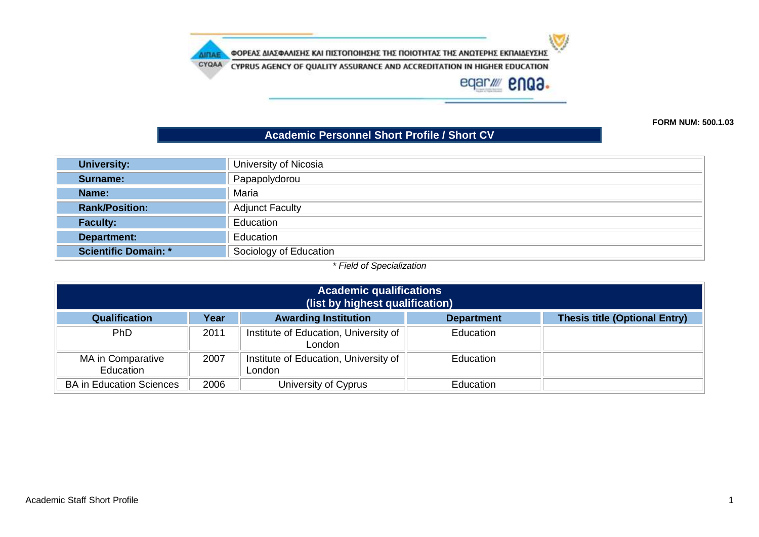w

ΦΟΡΕΑΣ ΔΙΑΣΦΑΛΙΣΗΣ ΚΑΙ ΠΙΣΤΟΠΟΙΗΣΗΣ ΤΗΣ ΠΟΙΟΤΗΤΑΣ ΤΗΣ ΑΝΩΤΕΡΗΣ ΕΚΠΑΙΔΕΥΣΗΣ

**AIRAE** 

CYQAA CYPRUS AGENCY OF QUALITY ASSURANCE AND ACCREDITATION IN HIGHER EDUCATION

eqar/ enQ3.

**FORM NUM: 500.1.03**

## **Academic Personnel Short Profile / Short CV**

| University:                 | University of Nicosia  |
|-----------------------------|------------------------|
| Surname:                    | Papapolydorou          |
| Name:                       | Maria                  |
| <b>Rank/Position:</b>       | <b>Adjunct Faculty</b> |
| <b>Faculty:</b>             | Education              |
| <b>Department:</b>          | Education              |
| <b>Scientific Domain: *</b> | Sociology of Education |

*\* Field of Specialization*

| <b>Academic qualifications</b><br>(list by highest qualification) |      |                                                 |                   |                                      |
|-------------------------------------------------------------------|------|-------------------------------------------------|-------------------|--------------------------------------|
| <b>Qualification</b>                                              | Year | <b>Awarding Institution</b>                     | <b>Department</b> | <b>Thesis title (Optional Entry)</b> |
| <b>PhD</b>                                                        | 2011 | Institute of Education, University of<br>London | Education         |                                      |
| MA in Comparative<br>Education                                    | 2007 | Institute of Education, University of<br>London | Education         |                                      |
| <b>BA in Education Sciences</b>                                   | 2006 | University of Cyprus                            | <b>Education</b>  |                                      |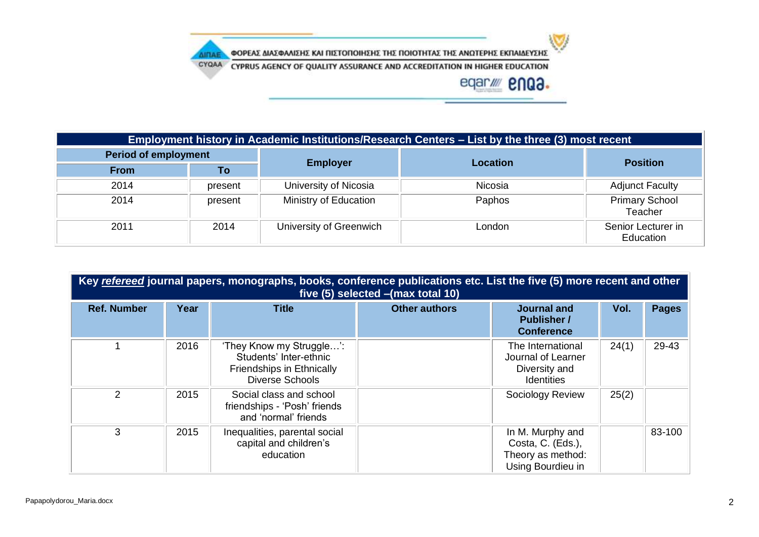

ΦΟΡΕΑΣ ΔΙΑΣΦΑΛΙΣΗΣ ΚΑΙ ΠΙΣΤΟΠΟΙΗΣΗΣ ΤΗΣ ΠΟΙΟΤΗΤΑΣ ΤΗΣ ΑΝΩΤΕΡΗΣ ΕΚΠΑΙΔΕΥΣΗΣ

CYQAA CYPRUS AGENCY OF QUALITY ASSURANCE AND ACCREDITATION IN HIGHER EDUCATION

**AIRAE** 



| Employment history in Academic Institutions/Research Centers – List by the three (3) most recent |         |                         |                 |                                  |  |
|--------------------------------------------------------------------------------------------------|---------|-------------------------|-----------------|----------------------------------|--|
| <b>Period of employment</b>                                                                      |         |                         |                 | <b>Position</b>                  |  |
| <b>From</b>                                                                                      | To      | <b>Employer</b>         | <b>Location</b> |                                  |  |
| 2014                                                                                             | present | University of Nicosia   | Nicosia         | <b>Adjunct Faculty</b>           |  |
| 2014                                                                                             | present | Ministry of Education   | Paphos          | <b>Primary School</b><br>Teacher |  |
| 2011                                                                                             | 2014    | University of Greenwich | London          | Senior Lecturer in<br>Education  |  |

| Key refereed journal papers, monographs, books, conference publications etc. List the five (5) more recent and other<br>five (5) selected - (max total 10) |      |                                                                                                           |                      |                                                                                 |       |              |
|------------------------------------------------------------------------------------------------------------------------------------------------------------|------|-----------------------------------------------------------------------------------------------------------|----------------------|---------------------------------------------------------------------------------|-------|--------------|
| <b>Ref. Number</b>                                                                                                                                         | Year | <b>Title</b>                                                                                              | <b>Other authors</b> | <b>Journal and</b><br><b>Publisher /</b><br><b>Conference</b>                   | Vol.  | <b>Pages</b> |
|                                                                                                                                                            | 2016 | 'They Know my Struggle':<br>Students' Inter-ethnic<br>Friendships in Ethnically<br><b>Diverse Schools</b> |                      | The International<br>Journal of Learner<br>Diversity and<br><b>Identities</b>   | 24(1) | 29-43        |
| 2                                                                                                                                                          | 2015 | Social class and school<br>friendships - 'Posh' friends<br>and 'normal' friends                           |                      | Sociology Review                                                                | 25(2) |              |
| 3                                                                                                                                                          | 2015 | Inequalities, parental social<br>capital and children's<br>education                                      |                      | In M. Murphy and<br>Costa, C. (Eds.),<br>Theory as method:<br>Using Bourdieu in |       | 83-100       |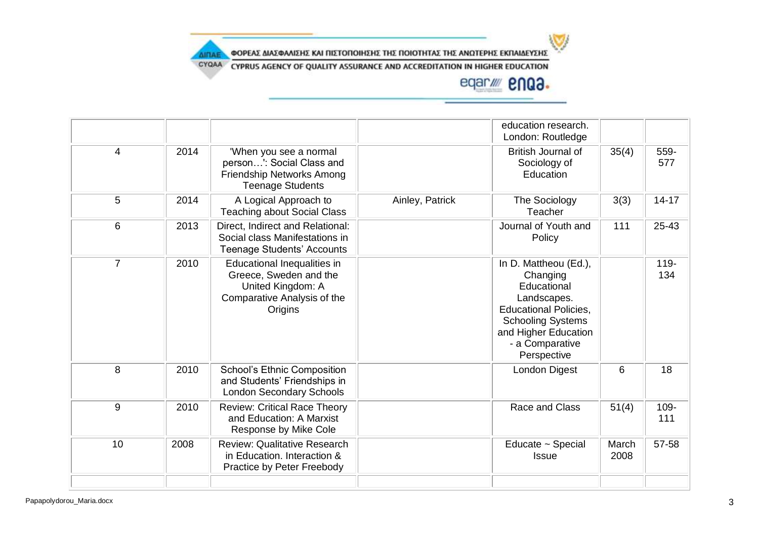

ΦΟΡΕΑΣ ΔΙΑΣΦΑΛΙΣΗΣ ΚΑΙ ΠΙΣΤΟΠΟΙΗΣΗΣ ΤΗΣ ΠΟΙΟΤΗΤΑΣ ΤΗΣ ΑΝΩΤΕΡΗΣ ΕΚΠΑΙΔΕΥΣΗΣ

CYQAA CYPRUS AGENCY OF QUALITY ASSURANCE AND ACCREDITATION IN HIGHER EDUCATION

**AIRAE** 

## eqar/ **2003.**

|                |      |                                                                                                                      |                 | education research.<br>London: Routledge                                                                                                                                              |               |                |
|----------------|------|----------------------------------------------------------------------------------------------------------------------|-----------------|---------------------------------------------------------------------------------------------------------------------------------------------------------------------------------------|---------------|----------------|
| $\overline{4}$ | 2014 | 'When you see a normal<br>person': Social Class and<br>Friendship Networks Among<br><b>Teenage Students</b>          |                 | British Journal of<br>Sociology of<br>Education                                                                                                                                       | 35(4)         | 559-<br>577    |
| 5              | 2014 | A Logical Approach to<br><b>Teaching about Social Class</b>                                                          | Ainley, Patrick | The Sociology<br>Teacher                                                                                                                                                              | 3(3)          | $14 - 17$      |
| 6              | 2013 | Direct, Indirect and Relational:<br>Social class Manifestations in<br><b>Teenage Students' Accounts</b>              |                 | Journal of Youth and<br>Policy                                                                                                                                                        | 111           | 25-43          |
| $\overline{7}$ | 2010 | Educational Inequalities in<br>Greece, Sweden and the<br>United Kingdom: A<br>Comparative Analysis of the<br>Origins |                 | In D. Mattheou (Ed.),<br>Changing<br>Educational<br>Landscapes.<br><b>Educational Policies,</b><br><b>Schooling Systems</b><br>and Higher Education<br>- a Comparative<br>Perspective |               | $119 -$<br>134 |
| 8              | 2010 | <b>School's Ethnic Composition</b><br>and Students' Friendships in<br><b>London Secondary Schools</b>                |                 | London Digest                                                                                                                                                                         | 6             | 18             |
| 9              | 2010 | <b>Review: Critical Race Theory</b><br>and Education: A Marxist<br>Response by Mike Cole                             |                 | Race and Class                                                                                                                                                                        | 51(4)         | 109-<br>111    |
| 10             | 2008 | <b>Review: Qualitative Research</b><br>in Education. Interaction &<br>Practice by Peter Freebody                     |                 | Educate ~ Special<br><b>Issue</b>                                                                                                                                                     | March<br>2008 | 57-58          |
|                |      |                                                                                                                      |                 |                                                                                                                                                                                       |               |                |